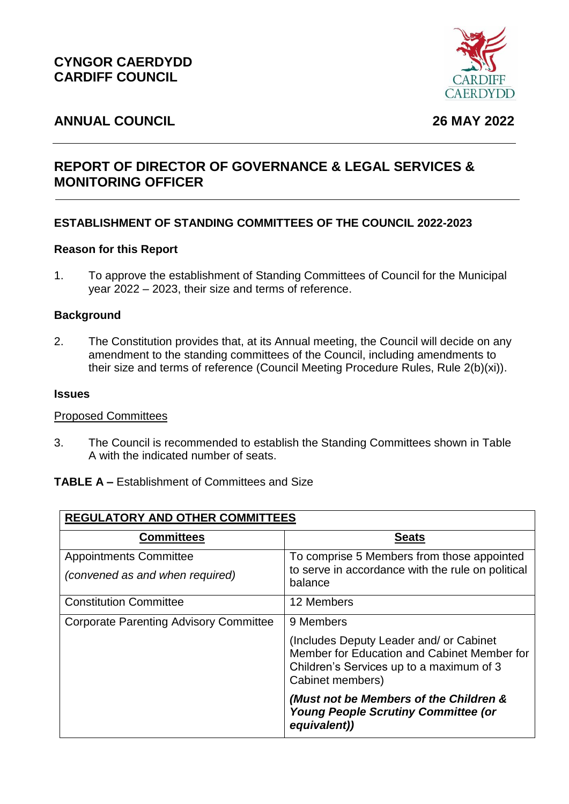

# **ANNUAL COUNCIL 26 MAY 2022**

# **REPORT OF DIRECTOR OF GOVERNANCE & LEGAL SERVICES & MONITORING OFFICER**

# **ESTABLISHMENT OF STANDING COMMITTEES OF THE COUNCIL 2022-2023**

#### **Reason for this Report**

1. To approve the establishment of Standing Committees of Council for the Municipal year 2022 – 2023, their size and terms of reference.

#### **Background**

2. The Constitution provides that, at its Annual meeting, the Council will decide on any amendment to the standing committees of the Council, including amendments to their size and terms of reference (Council Meeting Procedure Rules, Rule 2(b)(xi)).

#### **Issues**

#### Proposed Committees

3. The Council is recommended to establish the Standing Committees shown in Table A with the indicated number of seats.

#### **TABLE A –** Establishment of Committees and Size

| <b>REGULATORY AND OTHER COMMITTEES</b>        |                                                                                                                                                        |  |
|-----------------------------------------------|--------------------------------------------------------------------------------------------------------------------------------------------------------|--|
| <b>Committees</b>                             | <b>Seats</b>                                                                                                                                           |  |
| <b>Appointments Committee</b>                 | To comprise 5 Members from those appointed                                                                                                             |  |
| (convened as and when required)               | to serve in accordance with the rule on political<br>balance                                                                                           |  |
| <b>Constitution Committee</b>                 | 12 Members                                                                                                                                             |  |
| <b>Corporate Parenting Advisory Committee</b> | 9 Members                                                                                                                                              |  |
|                                               | (Includes Deputy Leader and/ or Cabinet<br>Member for Education and Cabinet Member for<br>Children's Services up to a maximum of 3<br>Cabinet members) |  |
|                                               | (Must not be Members of the Children &<br><b>Young People Scrutiny Committee (or</b><br>equivalent))                                                   |  |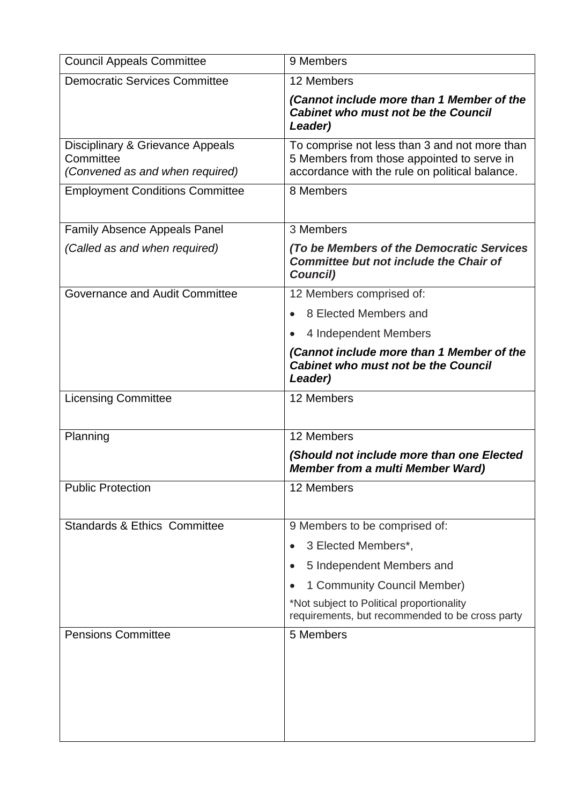| <b>Council Appeals Committee</b>                                                 | 9 Members                                                                                                                                     |
|----------------------------------------------------------------------------------|-----------------------------------------------------------------------------------------------------------------------------------------------|
| <b>Democratic Services Committee</b>                                             | 12 Members                                                                                                                                    |
|                                                                                  | (Cannot include more than 1 Member of the<br><b>Cabinet who must not be the Council</b><br>Leader)                                            |
| Disciplinary & Grievance Appeals<br>Committee<br>(Convened as and when required) | To comprise not less than 3 and not more than<br>5 Members from those appointed to serve in<br>accordance with the rule on political balance. |
| <b>Employment Conditions Committee</b>                                           | 8 Members                                                                                                                                     |
| <b>Family Absence Appeals Panel</b>                                              | 3 Members                                                                                                                                     |
| (Called as and when required)                                                    | (To be Members of the Democratic Services<br><b>Committee but not include the Chair of</b><br>Council)                                        |
| Governance and Audit Committee                                                   | 12 Members comprised of:                                                                                                                      |
|                                                                                  | 8 Elected Members and                                                                                                                         |
|                                                                                  | 4 Independent Members                                                                                                                         |
|                                                                                  | (Cannot include more than 1 Member of the<br><b>Cabinet who must not be the Council</b><br>Leader)                                            |
| <b>Licensing Committee</b>                                                       | 12 Members                                                                                                                                    |
| Planning                                                                         | 12 Members                                                                                                                                    |
|                                                                                  | (Should not include more than one Elected<br><b>Member from a multi Member Ward)</b>                                                          |
| <b>Public Protection</b>                                                         | 12 Members                                                                                                                                    |
| <b>Standards &amp; Ethics Committee</b>                                          | 9 Members to be comprised of:                                                                                                                 |
|                                                                                  | 3 Elected Members*,<br>$\bullet$                                                                                                              |
|                                                                                  | 5 Independent Members and<br>$\bullet$                                                                                                        |
|                                                                                  | 1 Community Council Member)                                                                                                                   |
|                                                                                  | *Not subject to Political proportionality<br>requirements, but recommended to be cross party                                                  |
| <b>Pensions Committee</b>                                                        | 5 Members                                                                                                                                     |
|                                                                                  |                                                                                                                                               |
|                                                                                  |                                                                                                                                               |
|                                                                                  |                                                                                                                                               |
|                                                                                  |                                                                                                                                               |
|                                                                                  |                                                                                                                                               |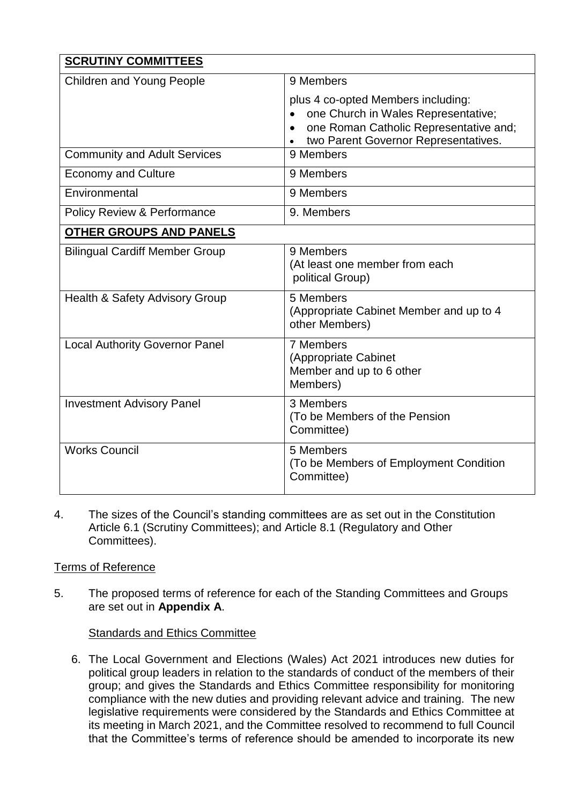| <b>SCRUTINY COMMITTEES</b>                |                                                                           |  |
|-------------------------------------------|---------------------------------------------------------------------------|--|
| <b>Children and Young People</b>          | 9 Members                                                                 |  |
|                                           | plus 4 co-opted Members including:<br>one Church in Wales Representative; |  |
|                                           | one Roman Catholic Representative and;                                    |  |
|                                           | two Parent Governor Representatives.<br>9 Members                         |  |
| <b>Community and Adult Services</b>       |                                                                           |  |
| <b>Economy and Culture</b>                | 9 Members                                                                 |  |
| Environmental                             | 9 Members                                                                 |  |
| <b>Policy Review &amp; Performance</b>    | 9. Members                                                                |  |
| <b>OTHER GROUPS AND PANELS</b>            |                                                                           |  |
| <b>Bilingual Cardiff Member Group</b>     | 9 Members                                                                 |  |
|                                           | (At least one member from each<br>political Group)                        |  |
| <b>Health &amp; Safety Advisory Group</b> | 5 Members                                                                 |  |
|                                           | (Appropriate Cabinet Member and up to 4)<br>other Members)                |  |
| <b>Local Authority Governor Panel</b>     | 7 Members                                                                 |  |
|                                           | (Appropriate Cabinet<br>Member and up to 6 other                          |  |
|                                           | Members)                                                                  |  |
| <b>Investment Advisory Panel</b>          | 3 Members                                                                 |  |
|                                           | (To be Members of the Pension<br>Committee)                               |  |
|                                           |                                                                           |  |
| <b>Works Council</b>                      | 5 Members<br>(To be Members of Employment Condition                       |  |
|                                           | Committee)                                                                |  |
|                                           |                                                                           |  |

4. The sizes of the Council's standing committees are as set out in the Constitution Article 6.1 (Scrutiny Committees); and Article 8.1 (Regulatory and Other Committees).

# Terms of Reference

5. The proposed terms of reference for each of the Standing Committees and Groups are set out in **Appendix A**.

#### Standards and Ethics Committee

6. The Local Government and Elections (Wales) Act 2021 introduces new duties for political group leaders in relation to the standards of conduct of the members of their group; and gives the Standards and Ethics Committee responsibility for monitoring compliance with the new duties and providing relevant advice and training. The new legislative requirements were considered by the Standards and Ethics Committee at its meeting in March 2021, and the Committee resolved to recommend to full Council that the Committee's terms of reference should be amended to incorporate its new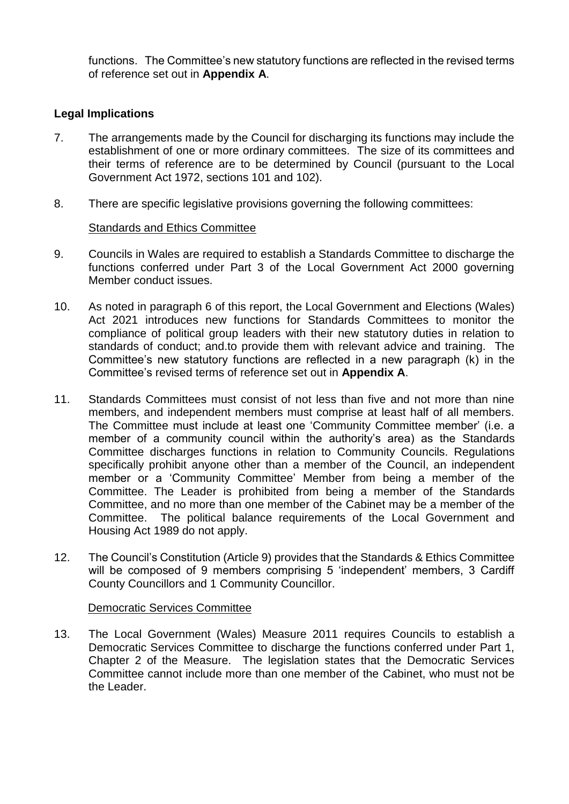functions. The Committee's new statutory functions are reflected in the revised terms of reference set out in **Appendix A**.

## **Legal Implications**

- 7. The arrangements made by the Council for discharging its functions may include the establishment of one or more ordinary committees. The size of its committees and their terms of reference are to be determined by Council (pursuant to the Local Government Act 1972, sections 101 and 102).
- 8. There are specific legislative provisions governing the following committees:

#### Standards and Ethics Committee

- 9. Councils in Wales are required to establish a Standards Committee to discharge the functions conferred under Part 3 of the Local Government Act 2000 governing Member conduct issues.
- 10. As noted in paragraph 6 of this report, the Local Government and Elections (Wales) Act 2021 introduces new functions for Standards Committees to monitor the compliance of political group leaders with their new statutory duties in relation to standards of conduct; and.to provide them with relevant advice and training. The Committee's new statutory functions are reflected in a new paragraph (k) in the Committee's revised terms of reference set out in **Appendix A**.
- 11. Standards Committees must consist of not less than five and not more than nine members, and independent members must comprise at least half of all members. The Committee must include at least one 'Community Committee member' (i.e. a member of a community council within the authority's area) as the Standards Committee discharges functions in relation to Community Councils. Regulations specifically prohibit anyone other than a member of the Council, an independent member or a 'Community Committee' Member from being a member of the Committee. The Leader is prohibited from being a member of the Standards Committee, and no more than one member of the Cabinet may be a member of the Committee. The political balance requirements of the Local Government and Housing Act 1989 do not apply.
- 12. The Council's Constitution (Article 9) provides that the Standards & Ethics Committee will be composed of 9 members comprising 5 'independent' members, 3 Cardiff County Councillors and 1 Community Councillor.

#### Democratic Services Committee

13. The Local Government (Wales) Measure 2011 requires Councils to establish a Democratic Services Committee to discharge the functions conferred under Part 1, Chapter 2 of the Measure. The legislation states that the Democratic Services Committee cannot include more than one member of the Cabinet, who must not be the Leader.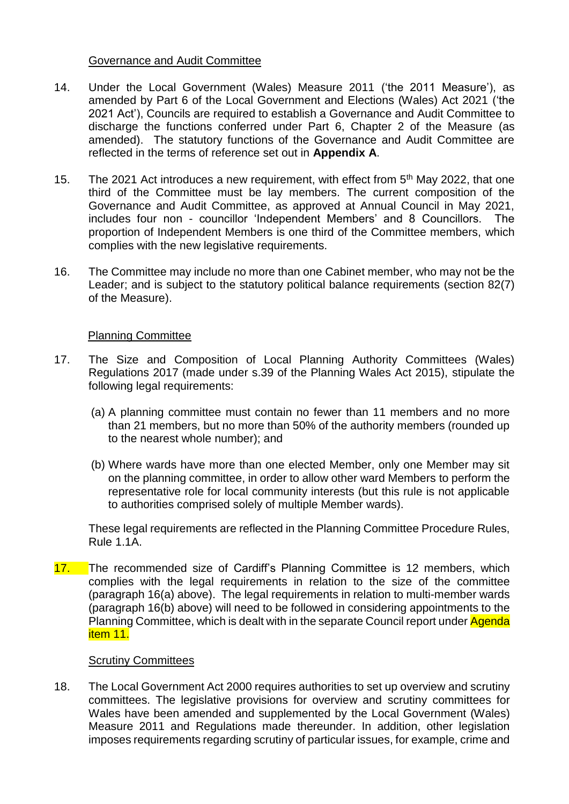#### Governance and Audit Committee

- 14. Under the Local Government (Wales) Measure 2011 ('the 2011 Measure'), as amended by Part 6 of the Local Government and Elections (Wales) Act 2021 ('the 2021 Act'), Councils are required to establish a Governance and Audit Committee to discharge the functions conferred under Part 6, Chapter 2 of the Measure (as amended). The statutory functions of the Governance and Audit Committee are reflected in the terms of reference set out in **Appendix A**.
- 15. The 2021 Act introduces a new requirement, with effect from 5<sup>th</sup> May 2022, that one third of the Committee must be lay members. The current composition of the Governance and Audit Committee, as approved at Annual Council in May 2021, includes four non - councillor 'Independent Members' and 8 Councillors. The proportion of Independent Members is one third of the Committee members, which complies with the new legislative requirements.
- 16. The Committee may include no more than one Cabinet member, who may not be the Leader; and is subject to the statutory political balance requirements (section 82(7) of the Measure).

#### Planning Committee

- 17. The Size and Composition of Local Planning Authority Committees (Wales) Regulations 2017 (made under s.39 of the Planning Wales Act 2015), stipulate the following legal requirements:
	- (a) A planning committee must contain no fewer than 11 members and no more than 21 members, but no more than 50% of the authority members (rounded up to the nearest whole number); and
	- (b) Where wards have more than one elected Member, only one Member may sit on the planning committee, in order to allow other ward Members to perform the representative role for local community interests (but this rule is not applicable to authorities comprised solely of multiple Member wards).

These legal requirements are reflected in the Planning Committee Procedure Rules, Rule 1.1A.

17. The recommended size of Cardiff's Planning Committee is 12 members, which complies with the legal requirements in relation to the size of the committee (paragraph 16(a) above). The legal requirements in relation to multi-member wards (paragraph 16(b) above) will need to be followed in considering appointments to the Planning Committee, which is dealt with in the separate Council report under Agenda item 11.

#### Scrutiny Committees

18. The Local Government Act 2000 requires authorities to set up overview and scrutiny committees. The legislative provisions for overview and scrutiny committees for Wales have been amended and supplemented by the Local Government (Wales) Measure 2011 and Regulations made thereunder. In addition, other legislation imposes requirements regarding scrutiny of particular issues, for example, crime and